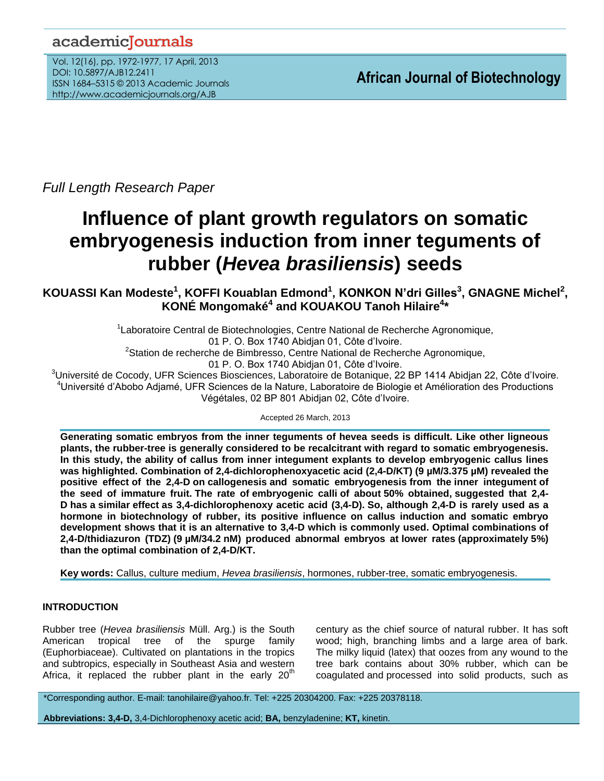## academicJournals

Vol. 12(16), pp. 1972-1977, 17 April, 2013 DOI: 10.5897/AJB12.2411 ISSN 1684–5315 © 2013 Academic Journals http://www.academicjournals.org/AJB

*Full Length Research Paper*

# **Influence of plant growth regulators on somatic embryogenesis induction from inner teguments of rubber (***Hevea brasiliensis***) seeds**

**KOUASSI Kan Modeste<sup>1</sup>, KOFFI Kouablan Edmond<sup>1</sup>, KONKON N'dri Gilles<sup>3</sup>, GNAGNE Michel<sup>2</sup>, KONÉ Mongomaké<sup>4</sup> and KOUAKOU Tanoh Hilaire<sup>4</sup> \***

> <sup>1</sup> Laboratoire Central de Biotechnologies, Centre National de Recherche Agronomique, 01 P. O. Box 1740 Abidjan 01, Côte d'Ivoire. <sup>2</sup>Station de recherche de Bimbresso, Centre National de Recherche Agronomique, 01 P. O. Box 1740 Abidjan 01, Côte d'Ivoire.

<sup>3</sup>Université de Cocody, UFR Sciences Biosciences, Laboratoire de Botanique, 22 BP 1414 Abidjan 22, Côte d'Ivoire. <sup>4</sup>Université d'Abobo Adjamé, UFR Sciences de la Nature, Laboratoire de Biologie et Amélioration des Productions Végétales, 02 BP 801 Abidjan 02, Côte d'Ivoire.

Accepted 26 March, 2013

**Generating somatic embryos from the inner teguments of hevea seeds is difficult. Like other ligneous plants, the rubber-tree is generally considered to be recalcitrant with regard to somatic embryogenesis. In this study, the ability of callus from inner integument explants to develop embryogenic callus lines was highlighted. Combination of 2,4-dichlorophenoxyacetic acid (2,4-D/KT) (9 µM/3.375 µM) revealed the positive effect of the 2,4-D on callogenesis and somatic embryogenesis from the inner integument of the seed of immature fruit. The rate of embryogenic calli of about 50% obtained, suggested that 2,4- D has a similar effect as 3,4-dichlorophenoxy acetic acid (3,4-D). So, although 2,4-D is rarely used as a hormone in biotechnology of rubber, its positive influence on callus induction and somatic embryo development shows that it is an alternative to 3,4-D which is commonly used. Optimal combinations of 2,4-D/thidiazuron (TDZ) (9 µM/34.2 nM) produced abnormal embryos at lower rates (approximately 5%) than the optimal combination of 2,4-D/KT.**

**Key words:** Callus, culture medium, *[Hevea brasiliensis](http://aob.oxfordjournals.org/search?fulltext=Hevea+brasiliensis&sortspec=date&submit=Submit&andorexactfulltext=phrase)*, [hormones,](http://aob.oxfordjournals.org/search?fulltext=hormones&sortspec=date&submit=Submit&andorexactfulltext=phrase) [rubber-tree,](http://aob.oxfordjournals.org/search?fulltext=rubber-tree&sortspec=date&submit=Submit&andorexactfulltext=phrase) [somatic embryogenesis.](http://aob.oxfordjournals.org/search?fulltext=somatic+embryogenesis&sortspec=date&submit=Submit&andorexactfulltext=phrase)

## **INTRODUCTION**

Rubber tree (*Hevea brasiliensis* Müll. Arg.) is the South American tropical tree of the spurge family (Euphorbiaceae). Cultivated on plantations in the tropics and subtropics, especially in Southeast Asia and western Africa, it replaced the rubber plant in the early  $20<sup>th</sup>$ 

century as the chief source of natural rubber. It has soft wood; high, branching limbs and a large area of bark. The milky liquid (latex) that oozes from any wound to the tree bark contains about 30% rubber, which can be coagulated and processed into solid products, such as

\*Corresponding author. E-mail: tanohilaire@yahoo.fr. Tel: +225 20304200. Fax: +225 20378118.

**Abbreviations: 3,4-D,** 3,4-Dichlorophenoxy acetic acid; **BA,** benzyladenine; **KT,** kinetin.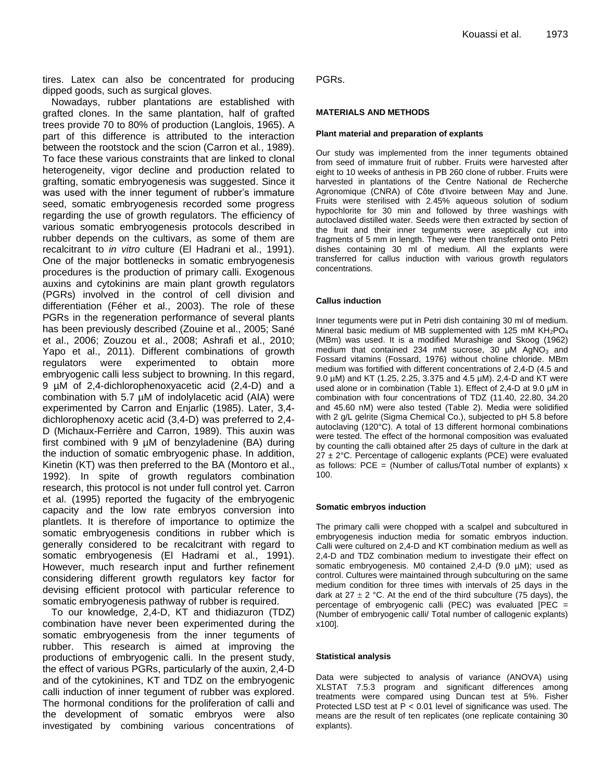tires. Latex can also be concentrated for producing dipped goods, such as surgical gloves.

Nowadays, rubber plantations are established with grafted clones. In the same plantation, half of grafted trees provide 70 to 80% of production (Langlois, 1965). A part of this difference is attributed to the interaction between the rootstock and the scion (Carron et al*.*, 1989). To face these various constraints that are linked to clonal heterogeneity, vigor decline and production related to grafting, somatic embryogenesis was suggested. Since it was used with the inner tegument of rubber's immature seed, somatic embryogenesis recorded some progress regarding the use of growth regulators. The efficiency of various somatic embryogenesis protocols described in rubber depends on the cultivars, as some of them are recalcitrant to *in vitro* culture (El Hadrani et al., 1991). One of the major bottlenecks in somatic embryogenesis procedures is the production of primary calli. Exogenous auxins and cytokinins are main plant growth regulators (PGRs) involved in the control of cell division and differentiation (Féher et al., 2003). The role of these PGRs in the regeneration performance of several plants has been previously described (Zouine et al., 2005; Sané et al., 2006; Zouzou et al., 2008; Ashrafi et al., 2010; Yapo et al., 2011). Different combinations of growth regulators were experimented to obtain more embryogenic calli less subject to browning. In this regard, 9 µM of 2,4-dichlorophenoxyacetic acid (2,4-D) and a combination with 5.7 µM of indolylacetic acid (AIA) were experimented by Carron and Enjarlic (1985). Later, 3,4 dichlorophenoxy acetic acid (3,4-D) was preferred to 2,4- D (Michaux-Ferrière and Carron, 1989). This auxin was first combined with 9  $\mu$ M of benzyladenine (BA) during the induction of somatic embryogenic phase. In addition, Kinetin (KT) was then preferred to the BA (Montoro et al., 1992). In spite of growth regulators combination research, this protocol is not under full control yet. Carron et al. (1995) reported the fugacity of the embryogenic capacity and the low rate embryos conversion into plantlets. It is therefore of importance to optimize the somatic embryogenesis conditions in rubber which is generally considered to be recalcitrant with regard to somatic embryogenesis (El Hadrami et al., 1991). However, much research input and further refinement considering different growth regulators key factor for devising efficient protocol with particular reference to somatic embryogenesis pathway of rubber is required.

To our knowledge, 2,4-D, KT and thidiazuron (TDZ) combination have never been experimented during the somatic embryogenesis from the inner teguments of rubber. This research is aimed at improving the productions of embryogenic calli. In the present study, the effect of various PGRs, particularly of the auxin, 2,4-D and of the cytokinines, KT and TDZ on the embryogenic calli induction of inner tegument of rubber was explored. The hormonal conditions for the proliferation of calli and the development of somatic embryos were also investigated by combining various concentrations of PGRs.

#### **MATERIALS AND METHODS**

#### **Plant material and preparation of explants**

Our study was implemented from the inner teguments obtained from seed of immature fruit of rubber. Fruits were harvested after eight to 10 weeks of anthesis in PB 260 clone of rubber. Fruits were harvested in plantations of the Centre National de Recherche Agronomique (CNRA) of Côte d'Ivoire between May and June. Fruits were sterilised with 2.45% aqueous solution of sodium hypochlorite for 30 min and followed by three washings with autoclaved distilled water. Seeds were then extracted by section of the fruit and their inner teguments were aseptically cut into fragments of 5 mm in length. They were then transferred onto Petri dishes containing 30 ml of medium. All the explants were transferred for callus induction with various growth regulators concentrations.

#### **Callus induction**

Inner teguments were put in Petri dish containing 30 ml of medium. Mineral basic medium of MB supplemented with 125 mM  $KH_{2}PO_{4}$ (MBm) was used. It is a modified Murashige and Skoog (1962) medium that contained 234 mM sucrose, 30  $\mu$ M AgNO<sub>3</sub> and Fossard vitamins (Fossard, 1976) without choline chloride. MBm medium was fortified with different concentrations of 2,4-D (4.5 and 9.0 µM) and KT (1.25, 2.25, 3.375 and 4.5 µM). 2,4-D and KT were used alone or in combination (Table 1). Effect of 2,4-D at 9.0 µM in combination with four concentrations of TDZ (11.40, 22.80, 34.20 and 45.60 nM) were also tested (Table 2). Media were solidified with 2 g/L gelrite (Sigma Chemical Co.), subjected to pH 5.8 before autoclaving (120°C). A total of 13 different hormonal combinations were tested. The effect of the hormonal composition was evaluated by counting the calli obtained after 25 days of culture in the dark at  $27 \pm 2^{\circ}$ C. Percentage of callogenic explants (PCE) were evaluated as follows: PCE = (Number of callus/Total number of explants)  $x$ 100.

#### **Somatic embryos induction**

The primary calli were chopped with a scalpel and subcultured in embryogenesis induction media for somatic embryos induction. Calli were cultured on 2,4-D and KT combination medium as well as 2,4-D and TDZ combination medium to investigate their effect on somatic embryogenesis. M0 contained 2,4-D (9.0 µM); used as control. Cultures were maintained through subculturing on the same medium condition for three times with intervals of 25 days in the dark at 27  $\pm$  2 °C. At the end of the third subculture (75 days), the percentage of embryogenic calli (PEC) was evaluated [PEC = (Number of embryogenic calli/ Total number of callogenic explants) x100].

#### **Statistical analysis**

Data were subjected to analysis of variance (ANOVA) using XLSTAT 7.5.3 program and significant differences among treatments were compared using Duncan test at 5%. Fisher Protected LSD test at  $P < 0.01$  level of significance was used. The means are the result of ten replicates (one replicate containing 30 explants).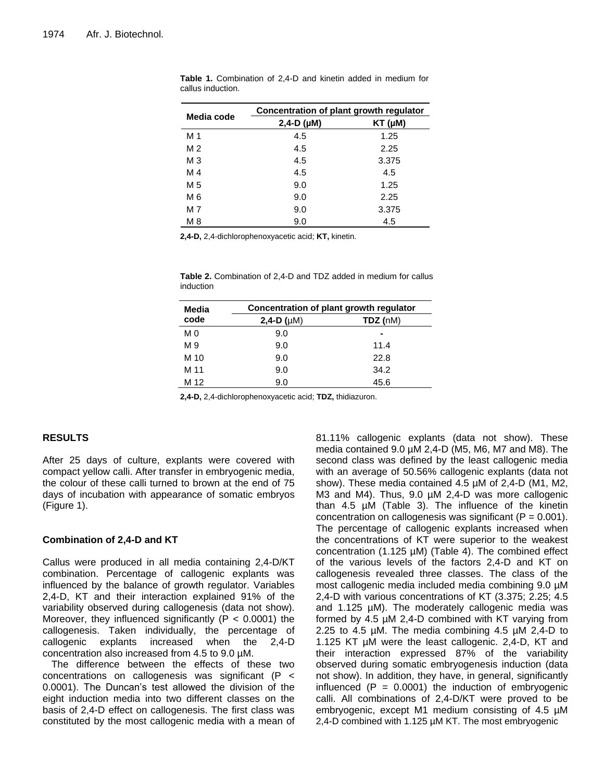| Media code     | Concentration of plant growth regulator |                 |  |
|----------------|-----------------------------------------|-----------------|--|
|                | $2,4-D$ ( $\mu$ M)                      | $KT$ ( $\mu$ M) |  |
| M 1            | 4.5                                     | 1.25            |  |
| M <sub>2</sub> | 4.5                                     | 2.25            |  |
| M <sub>3</sub> | 4.5                                     | 3.375           |  |
| M 4            | 4.5                                     | 4.5             |  |
| M 5            | 9.0                                     | 1.25            |  |
| M 6            | 9.0                                     | 2.25            |  |
| M 7            | 9.0                                     | 3.375           |  |
| M 8            | 9.0                                     | 4.5             |  |

**Table 1.** Combination of 2,4-D and kinetin added in medium for callus induction.

**2,4-D,** 2,4-dichlorophenoxyacetic acid; **KT,** kinetin.

**Table 2.** Combination of 2,4-D and TDZ added in medium for callus induction

| Media | Concentration of plant growth regulator |          |  |
|-------|-----------------------------------------|----------|--|
| code  | 2,4-D $(\mu M)$                         | TDZ (nM) |  |
| M0    | 9.0                                     |          |  |
| M 9   | 9.0                                     | 11.4     |  |
| M 10  | 9.0                                     | 22.8     |  |
| M 11  | 9.0                                     | 34.2     |  |
| M 12  | 9.0                                     | 45.6     |  |

**2,4-D,** 2,4-dichlorophenoxyacetic acid; **TDZ,** thidiazuron.

### **RESULTS**

After 25 days of culture, explants were covered with compact yellow calli. After transfer in embryogenic media, the colour of these calli turned to brown at the end of 75 days of incubation with appearance of somatic embryos (Figure 1).

#### **Combination of 2,4-D and KT**

Callus were produced in all media containing 2,4-D/KT combination. Percentage of callogenic explants was influenced by the balance of growth regulator. Variables 2,4-D, KT and their interaction explained 91% of the variability observed during callogenesis (data not show). Moreover, they influenced significantly ( $P < 0.0001$ ) the callogenesis. Taken individually, the percentage of callogenic explants increased when the 2,4-D concentration also increased from 4.5 to 9.0 µM.

The difference between the effects of these two concentrations on callogenesis was significant (P < 0.0001). The Duncan's test allowed the division of the eight induction media into two different classes on the basis of 2,4-D effect on callogenesis. The first class was constituted by the most callogenic media with a mean of 81.11% callogenic explants (data not show). These media contained 9.0 µM 2,4-D (M5, M6, M7 and M8). The second class was defined by the least callogenic media with an average of 50.56% callogenic explants (data not show). These media contained 4.5 µM of 2,4-D (M1, M2, M3 and M4). Thus, 9.0  $\mu$ M 2,4-D was more callogenic than 4.5 µM (Table 3). The influence of the kinetin concentration on callogenesis was significant  $(P = 0.001)$ . The percentage of callogenic explants increased when the concentrations of KT were superior to the weakest concentration  $(1.125 \mu M)$  (Table 4). The combined effect of the various levels of the factors 2,4-D and KT on callogenesis revealed three classes. The class of the most callogenic media included media combining 9.0 µM 2,4-D with various concentrations of KT (3.375; 2.25; 4.5 and 1.125 µM). The moderately callogenic media was formed by 4.5 µM 2,4-D combined with KT varying from 2.25 to 4.5 µM. The media combining 4.5 µM 2,4-D to 1.125 KT µM were the least callogenic. 2,4-D, KT and their interaction expressed 87% of the variability observed during somatic embryogenesis induction (data not show). In addition, they have, in general, significantly influenced  $(P = 0.0001)$  the induction of embryogenic calli. All combinations of 2,4-D/KT were proved to be embryogenic, except M1 medium consisting of 4.5 µM 2,4-D combined with 1.125 µM KT. The most embryogenic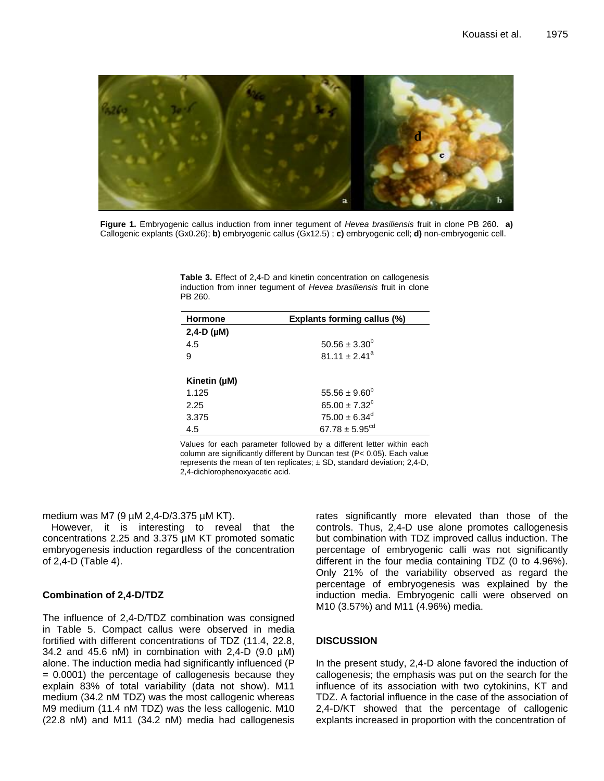

**Figure 1. Embryogenic callus induction from inner tegument of** *Hevea*  Callogenic explants (Gx0.26); **b)** embryogenic callus (Gx12.5) ; **c)** embryogenic cell; **d)** non-embryogenic cell. **Figure 1.** Embryogenic callus induction from inner tegument of *Hevea brasiliensis* fruit in clone PB 260. **a)**

**Table 3.** Effect of 2,4-D and kinetin concentration on callogenesis **PB 260.** induction from inner tegument of *Hevea brasiliensis* fruit in clone

| <b>Hormone</b>    | <b>Explants forming callus (%)</b> |  |
|-------------------|------------------------------------|--|
| 2,4-D $(\mu M)$   |                                    |  |
| 4.5               | $50.56 \pm 3.30^b$                 |  |
| 9                 | $81.11 \pm 2.41^a$                 |  |
|                   |                                    |  |
| Kinetin $(\mu M)$ |                                    |  |
| 1.125             | $55.56 \pm 9.60^b$                 |  |
| 2.25              | $65.00 \pm 7.32^{\circ}$           |  |
| 3.375             | $75.00 \pm 6.34$ <sup>d</sup>      |  |
| 4.5               | $67.78 \pm 5.95^{\text{cd}}$       |  |

Values for each parameter followed by a different letter within each column are significantly different by Duncan test (P< 0.05). Each value represents the mean of ten replicates;  $\pm$  SD, standard deviation; 2,4-D, 2,4-dichlorophenoxyacetic acid.

medium was M7 (9 µM 2,4-D/3.375 µM KT).

However, it is interesting to reveal that the concentrations 2.25 and 3.375 µM KT promoted somatic embryogenesis induction regardless of the concentration of 2,4-D (Table 4).

#### **Combination of 2,4-D/TDZ**

The influence of 2,4-D/TDZ combination was consigned in Table 5. Compact callus were observed in media fortified with different concentrations of TDZ (11.4, 22.8, 34.2 and 45.6 nM) in combination with 2,4-D (9.0 µM) alone. The induction media had significantly influenced (P  $= 0.0001$ ) the percentage of callogenesis because they explain 83% of total variability (data not show). M11 medium (34.2 nM TDZ) was the most callogenic whereas M9 medium (11.4 nM TDZ) was the less callogenic. M10 (22.8 nM) and M11 (34.2 nM) media had callogenesis

rates significantly more elevated than those of the controls. Thus, 2,4-D use alone promotes callogenesis but combination with TDZ improved callus induction. The percentage of embryogenic calli was not significantly different in the four media containing TDZ (0 to 4.96%). Only 21% of the variability observed as regard the percentage of embryogenesis was explained by the induction media. Embryogenic calli were observed on M10 (3.57%) and M11 (4.96%) media.

## **DISCUSSION**

In the present study, 2,4-D alone favored the induction of callogenesis; the emphasis was put on the search for the influence of its association with two cytokinins, KT and TDZ. A factorial influence in the case of the association of 2,4-D/KT showed that the percentage of callogenic explants increased in proportion with the concentration of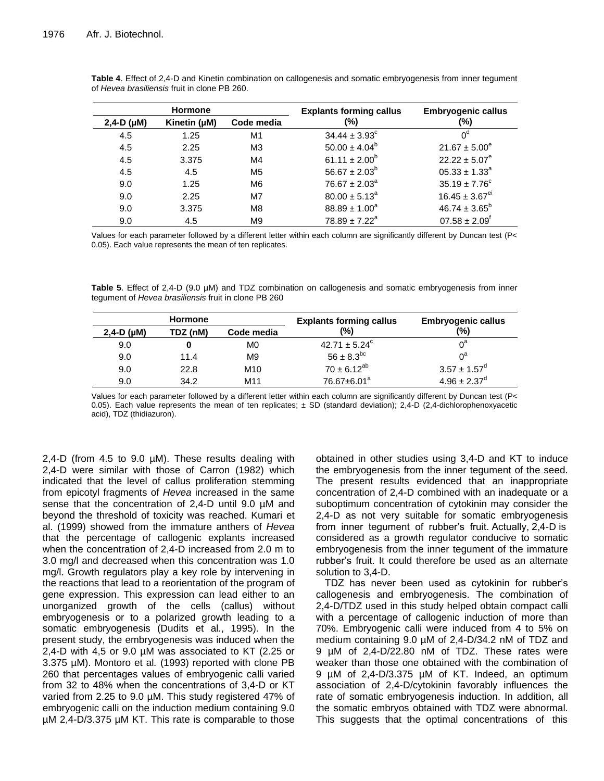| <b>Hormone</b>     |              | <b>Explants forming callus</b> | <b>Embryogenic callus</b> |                                |
|--------------------|--------------|--------------------------------|---------------------------|--------------------------------|
| $2,4-D$ ( $\mu$ M) | Kinetin (µM) | Code media                     | (%)                       | (%)                            |
| 4.5                | 1.25         | M1                             | $34.44 \pm 3.93^{\circ}$  |                                |
| 4.5                | 2.25         | M <sub>3</sub>                 | $50.00 \pm 4.04^b$        | $21.67 \pm 5.00^e$             |
| 4.5                | 3.375        | M4                             | 61.11 $\pm 2.00^b$        | $22.22 \pm 5.07^e$             |
| 4.5                | 4.5          | M <sub>5</sub>                 | $56.67 \pm 2.03^b$        | $05.33 \pm 1.33^a$             |
| 9.0                | 1.25         | M <sub>6</sub>                 | $76.67 \pm 2.03^a$        | $35.19 \pm 7.76^c$             |
| 9.0                | 2.25         | M7                             | $80.00 \pm 5.13^a$        | $16.45 \pm 3.67$ <sup>ei</sup> |
| 9.0                | 3.375        | M <sub>8</sub>                 | $88.89 \pm 1.00^a$        | $46.74 \pm 3.65^b$             |
| 9.0                | 4.5          | M <sub>9</sub>                 | $78.89 \pm 7.22^a$        | $07.58 \pm 2.09$ <sup>f</sup>  |

**Table 4**. Effect of 2,4-D and Kinetin combination on callogenesis and somatic embryogenesis from inner tegument of *Hevea brasiliensis* fruit in clone PB 260.

Values for each parameter followed by a different letter within each column are significantly different by Duncan test (P< 0.05). Each value represents the mean of ten replicates.

**Table 5**. Effect of 2,4-D (9.0 µM) and TDZ combination on callogenesis and somatic embryogenesis from inner tegument of *Hevea brasiliensis* fruit in clone PB 260

| <b>Hormone</b>     |          | <b>Explants forming callus</b> | <b>Embryogenic callus</b> |                   |
|--------------------|----------|--------------------------------|---------------------------|-------------------|
| $2,4-D$ ( $\mu$ M) | TDZ (nM) | Code media                     | (%)                       | (%)               |
| 9.0                |          | M0                             | $42.71 \pm 5.24^c$        | $0^{\mathsf{a}}$  |
| 9.0                | 11.4     | M9                             | $56 \pm 8.3^{bc}$         | ∩ª                |
| 9.0                | 22.8     | M <sub>10</sub>                | $70 \pm 6.12^{ab}$        | $3.57 \pm 1.57^d$ |
| 9.0                | 34.2     | M11                            | 76.67±6.01 <sup>a</sup>   | $4.96 \pm 2.37^d$ |

Values for each parameter followed by a different letter within each column are significantly different by Duncan test (P< 0.05). Each value represents the mean of ten replicates; ± SD (standard deviation); 2,4-D (2,4-dichlorophenoxyacetic acid), TDZ (thidiazuron).

2,4-D (from 4.5 to 9.0  $\mu$ M). These results dealing with 2,4-D were similar with those of Carron (1982) which indicated that the level of callus proliferation stemming from epicotyl fragments of *Hevea* increased in the same sense that the concentration of 2,4-D until 9.0  $\mu$ M and beyond the threshold of toxicity was reached. Kumari et al. (1999) showed from the immature anthers of *Hevea* that the percentage of callogenic explants increased when the concentration of 2,4-D increased from 2.0 m to 3.0 mg/l and decreased when this concentration was 1.0 mg/l. Growth regulators play a key role by intervening in the reactions that lead to a reorientation of the program of gene expression. This expression can lead either to an unorganized growth of the cells (callus) without embryogenesis or to a polarized growth leading to a somatic embryogenesis (Dudits et al*.*, 1995). In the present study, the embryogenesis was induced when the 2,4-D with 4,5 or 9.0 µM was associated to KT (2.25 or 3.375 µM). Montoro et al*.* (1993) reported with clone PB 260 that percentages values of embryogenic calli varied from 32 to 48% when the concentrations of 3,4-D or KT varied from 2.25 to 9.0 µM. This study registered 47% of embryogenic calli on the induction medium containing 9.0 µM 2,4-D/3.375 µM KT. This rate is comparable to those

obtained in other studies using 3,4-D and KT to induce the embryogenesis from the inner tegument of the seed. The present results evidenced that an inappropriate concentration of 2,4-D combined with an inadequate or a suboptimum concentration of cytokinin may consider the 2,4-D as not very suitable for somatic embryogenesis from inner tegument of rubber's fruit. Actually, 2,4-D is considered as a growth regulator conducive to somatic embryogenesis from the inner tegument of the immature rubber's fruit. It could therefore be used as an alternate solution to 3,4-D.

TDZ has never been used as cytokinin for rubber's callogenesis and embryogenesis. The combination of 2,4-D/TDZ used in this study helped obtain compact calli with a percentage of callogenic induction of more than 70%. Embryogenic calli were induced from 4 to 5% on medium containing 9.0 µM of 2,4-D/34.2 nM of TDZ and 9 µM of 2,4-D/22.80 nM of TDZ. These rates were weaker than those one obtained with the combination of 9 µM of 2,4-D/3.375 µM of KT. Indeed, an optimum association of 2,4-D/cytokinin favorably influences the rate of somatic embryogenesis induction. In addition, all the somatic embryos obtained with TDZ were abnormal. This suggests that the optimal concentrations of this